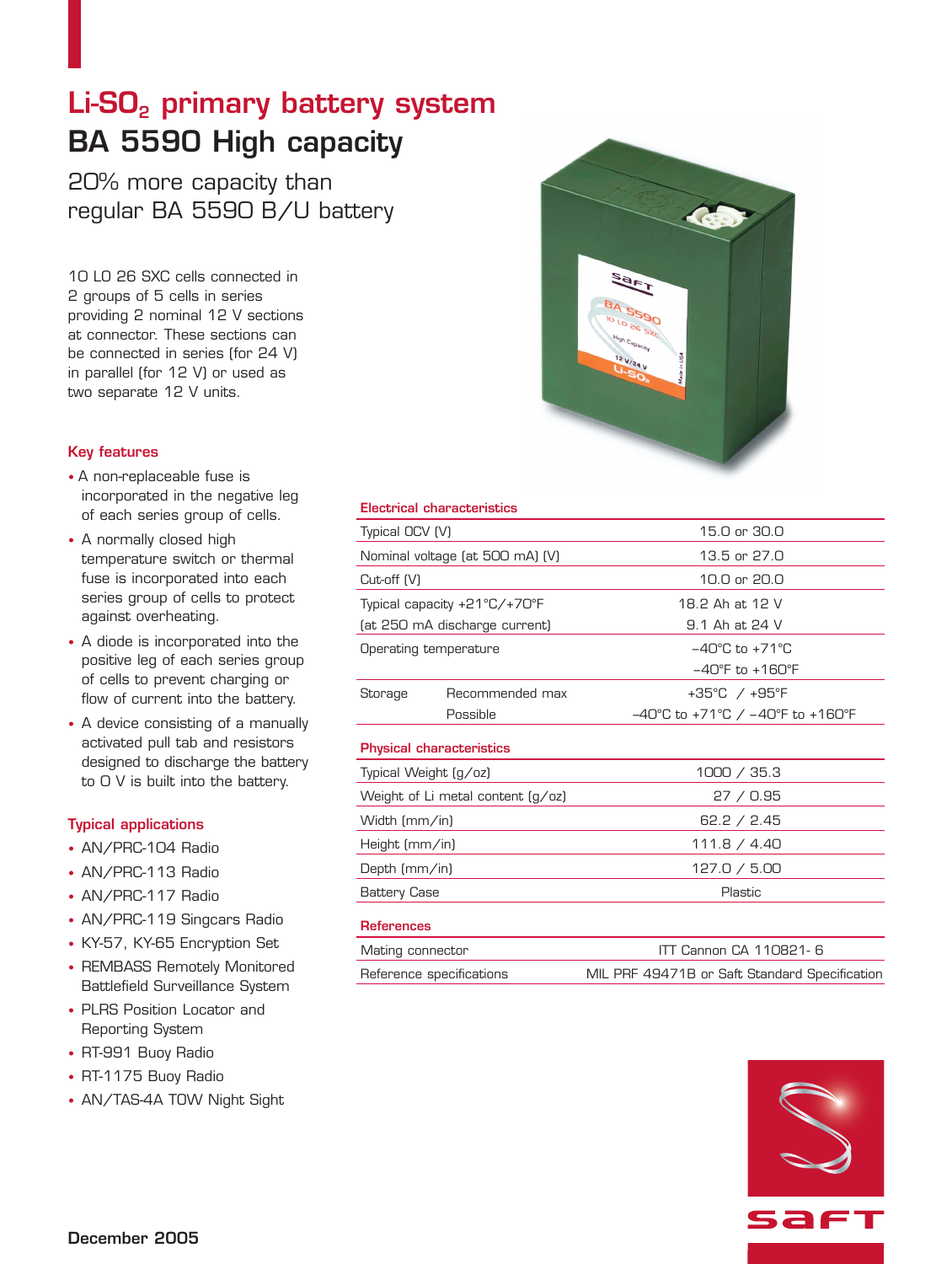# Li-SO<sub>2</sub> primary battery system **BA 5590 High capacity**

20% more capacity than regular BA 5590 B/U battery

10 LO 26 SXC cells connected in 2 groups of 5 cells in series providing 2 nominal 12 V sections at connector. These sections can be connected in series (for 24 V) in parallel (for 12 V) or used as two separate 12 V units.

## **Key features**

- **•** A non-replaceable fuse is incorporated in the negative leg of each series group of cells.
- **•** A normally closed high temperature switch or thermal fuse is incorporated into each series group of cells to protect against overheating.
- **•** A diode is incorporated into the positive leg of each series group of cells to prevent charging or flow of current into the battery.
- **•** A device consisting of a manually activated pull tab and resistors designed to discharge the battery to 0 V is built into the battery.

# **Typical applications**

- **•** AN/PRC-104 Radio
- **•** AN/PRC-113 Radio
- **•** AN/PRC-117 Radio
- **•** AN/PRC-119 Singcars Radio
- **•** KY-57, KY-65 Encryption Set
- **•** REMBASS Remotely Monitored Battlefield Surveillance System
- **•** PLRS Position Locator and Reporting System
- **•** RT-991 Buoy Radio
- **•** RT-1175 Buoy Radio
- **•** AN/TAS-4A TOW Night Sight



# Typical OCV (V) 15.0 or 30.0 Nominal voltage (at 500 mA) (V) 13.5 or 27.0 Cut-off (V) 10.0 or 20.0 Typical capacity +21°C/+70°F 18.2 Ah at 12 V (at 250 mA discharge current) 9.1 Ah at 24 V Operating temperature  $-40^{\circ}$ C to +71 $^{\circ}$ C –40°F to +160°F Storage Recommended max +35°C / +95°F Possible  $-40^{\circ}$ C to  $+71^{\circ}$ C  $/ -40^{\circ}$ F to  $+160^{\circ}$ F **Physical characteristics** Typical Weight (g/oz) 1000 / 35.3 Weight of Li metal content (g/oz) 27 / 0.95 Width (mm/in) 62.2 / 2.45 Height (mm/in) 111.8 / 4.40 Depth (mm/in) 127.0 / 5.00 Battery Case **Plastic References**

**Electrical characteristics**